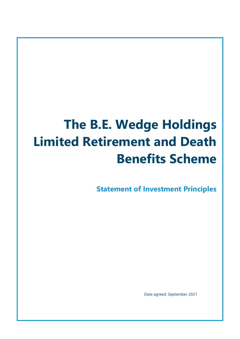# **The B.E. Wedge Holdings Limited Retirement and Death Benefits Scheme**

**Statement of Investment Principles**

Date agreed: September 2021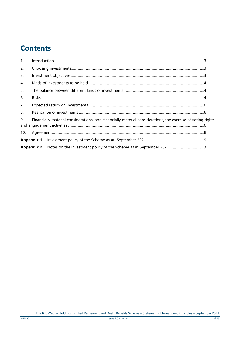# **Contents**

| 1.  |                                                                                                             |  |  |  |  |
|-----|-------------------------------------------------------------------------------------------------------------|--|--|--|--|
| 2.  |                                                                                                             |  |  |  |  |
| 3.  |                                                                                                             |  |  |  |  |
| 4.  |                                                                                                             |  |  |  |  |
| 5.  |                                                                                                             |  |  |  |  |
| 6.  |                                                                                                             |  |  |  |  |
| 7.  |                                                                                                             |  |  |  |  |
| 8.  |                                                                                                             |  |  |  |  |
| 9.  | Financially material considerations, non-financially material considerations, the exercise of voting rights |  |  |  |  |
| 10. |                                                                                                             |  |  |  |  |
|     |                                                                                                             |  |  |  |  |
|     |                                                                                                             |  |  |  |  |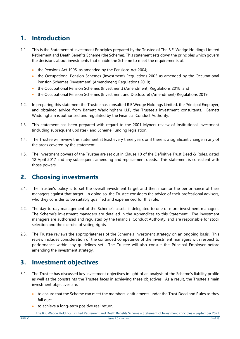# <span id="page-2-0"></span>**1. Introduction**

- 1.1. This is the Statement of Investment Principles prepared by the Trustee of The B.E. Wedge Holdings Limited Retirement and Death Benefits Scheme (the Scheme). This statement sets down the principles which govern the decisions about investments that enable the Scheme to meet the requirements of:
	- the Pensions Act 1995, as amended by the Pensions Act 2004;
	- the Occupational Pension Schemes (Investment) Regulations 2005 as amended by the Occupational Pension Schemes (Investment) (Amendment) Regulations 2010;
	- the Occupational Pension Schemes (Investment) (Amendment) Regulations 2018; and
	- the Occupational Pension Schemes (Investment and Disclosure) (Amendment) Regulations 2019.
- 1.2. In preparing this statement the Trustee has consulted B E Wedge Holdings Limited, the Principal Employer, and obtained advice from Barnett Waddingham LLP, the Trustee's investment consultants. Barnett Waddingham is authorised and regulated by the Financial Conduct Authority.
- 1.3. This statement has been prepared with regard to the 2001 Myners review of institutional investment (including subsequent updates), and Scheme Funding legislation.
- 1.4. The Trustee will review this statement at least every three years or if there is a significant change in any of the areas covered by the statement.
- 1.5. The investment powers of the Trustee are set out in Clause 10 of the Definitive Trust Deed & Rules, dated 12 April 2017 and any subsequent amending and replacement deeds. This statement is consistent with those powers.

# <span id="page-2-1"></span>**2. Choosing investments**

- 2.1. The Trustee's policy is to set the overall investment target and then monitor the performance of their managers against that target. In doing so, the Trustee considers the advice of their professional advisers, who they consider to be suitably qualified and experienced for this role.
- 2.2. The day-to-day management of the Scheme's assets is delegated to one or more investment managers. The Scheme's investment managers are detailed in the Appendices to this Statement. The investment managers are authorised and regulated by the Financial Conduct Authority, and are responsible for stock selection and the exercise of voting rights.
- 2.3. The Trustee reviews the appropriateness of the Scheme's investment strategy on an ongoing basis. This review includes consideration of the continued competence of the investment managers with respect to performance within any guidelines set. The Trustee will also consult the Principal Employer before amending the investment strategy.

# <span id="page-2-2"></span>**3. Investment objectives**

- 3.1. The Trustee has discussed key investment objectives in light of an analysis of the Scheme's liability profile as well as the constraints the Trustee faces in achieving these objectives. As a result, the Trustee's main investment objectives are:
	- to ensure that the Scheme can meet the members' entitlements under the Trust Deed and Rules as they fall due;
	- to achieve a long-term positive real return;
		- The B.E. Wedge Holdings Limited Retirement and Death Benefits Scheme Statement of Investment Principles September 2021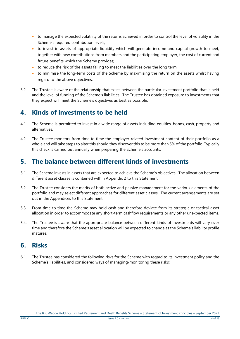- to manage the expected volatility of the returns achieved in order to control the level of volatility in the Scheme's required contribution levels;
- to invest in assets of appropriate liquidity which will generate income and capital growth to meet, together with new contributions from members and the participating employer, the cost of current and future benefits which the Scheme provides;
- to reduce the risk of the assets failing to meet the liabilities over the long term;
- to minimise the long-term costs of the Scheme by maximising the return on the assets whilst having regard to the above objectives.
- 3.2. The Trustee is aware of the relationship that exists between the particular investment portfolio that is held and the level of funding of the Scheme's liabilities. The Trustee has obtained exposure to investments that they expect will meet the Scheme's objectives as best as possible.

# <span id="page-3-0"></span>**4. Kinds of investments to be held**

- 4.1. The Scheme is permitted to invest in a wide range of assets including equities, bonds, cash, property and alternatives.
- 4.2. The Trustee monitors from time to time the employer-related investment content of their portfolio as a whole and will take steps to alter this should they discover this to be more than 5% of the portfolio. Typically this check is carried out annually when preparing the Scheme's accounts.

# <span id="page-3-1"></span>**5. The balance between different kinds of investments**

- 5.1. The Scheme invests in assets that are expected to achieve the Scheme's objectives. The allocation between different asset classes is contained within Appendix 2 to this Statement.
- 5.2. The Trustee considers the merits of both active and passive management for the various elements of the portfolio and may select different approaches for different asset classes. The current arrangements are set out in the Appendices to this Statement.
- 5.3. From time to time the Scheme may hold cash and therefore deviate from its strategic or tactical asset allocation in order to accommodate any short-term cashflow requirements or any other unexpected items.
- 5.4. The Trustee is aware that the appropriate balance between different kinds of investments will vary over time and therefore the Scheme's asset allocation will be expected to change as the Scheme's liability profile matures.

# <span id="page-3-2"></span>**6. Risks**

6.1. The Trustee has considered the following risks for the Scheme with regard to its investment policy and the Scheme's liabilities, and considered ways of managing/monitoring these risks: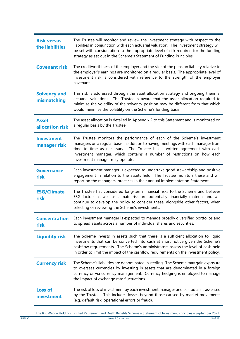| <b>Risk versus</b><br>the liabilities | The Trustee will monitor and review the investment strategy with respect to the<br>liabilities in conjunction with each actuarial valuation. The investment strategy will<br>be set with consideration to the appropriate level of risk required for the funding<br>strategy as set out in the Scheme's Statement of Funding Principles.               |  |  |  |
|---------------------------------------|--------------------------------------------------------------------------------------------------------------------------------------------------------------------------------------------------------------------------------------------------------------------------------------------------------------------------------------------------------|--|--|--|
| <b>Covenant risk</b>                  | The creditworthiness of the employer and the size of the pension liability relative to<br>the employer's earnings are monitored on a regular basis. The appropriate level of<br>investment risk is considered with reference to the strength of the employer<br>covenant.                                                                              |  |  |  |
| <b>Solvency and</b><br>mismatching    | This risk is addressed through the asset allocation strategy and ongoing triennial<br>actuarial valuations. The Trustee is aware that the asset allocation required to<br>minimise the volatility of the solvency position may be different from that which<br>would minimise the volatility on the Scheme's funding basis.                            |  |  |  |
| <b>Asset</b><br>allocation risk       | The asset allocation is detailed in Appendix 2 to this Statement and is monitored on<br>a regular basis by the Trustee.                                                                                                                                                                                                                                |  |  |  |
| <b>Investment</b><br>manager risk     | The Trustee monitors the performance of each of the Scheme's investment<br>managers on a regular basis in addition to having meetings with each manager from<br>time to time as necessary. The Trustee has a written agreement with each<br>investment manager, which contains a number of restrictions on how each<br>investment manager may operate. |  |  |  |
| <b>Governance</b><br>risk             | Each investment manager is expected to undertake good stewardship and positive<br>engagement in relation to the assets held. The Trustee monitors these and will<br>report on the managers' practices in their annual Implementation Statement.                                                                                                        |  |  |  |
| <b>ESG/Climate</b><br>risk            | The Trustee has considered long-term financial risks to the Scheme and believes<br>ESG factors as well as climate risk are potentially financially material and will<br>continue to develop the policy to consider these, alongside other factors, when<br>selecting or reviewing the Scheme's investments.                                            |  |  |  |
| <b>Concentration</b><br>risk          | Each investment manager is expected to manage broadly diversified portfolios and<br>to spread assets across a number of individual shares and securities.                                                                                                                                                                                              |  |  |  |
| <b>Liquidity risk</b>                 | The Scheme invests in assets such that there is a sufficient allocation to liquid<br>investments that can be converted into cash at short notice given the Scheme's<br>cashflow requirements. The Scheme's administrators assess the level of cash held<br>in order to limit the impact of the cashflow requirements on the investment policy.         |  |  |  |
| <b>Currency risk</b>                  | The Scheme's liabilities are denominated in sterling. The Scheme may gain exposure<br>to overseas currencies by investing in assets that are denominated in a foreign<br>currency or via currency management. Currency hedging is employed to manage<br>the impact of exchange rate fluctuations.                                                      |  |  |  |
| <b>Loss of</b><br>investment          | The risk of loss of investment by each investment manager and custodian is assessed<br>by the Trustee. This includes losses beyond those caused by market movements<br>(e.g. default risk, operational errors or fraud).                                                                                                                               |  |  |  |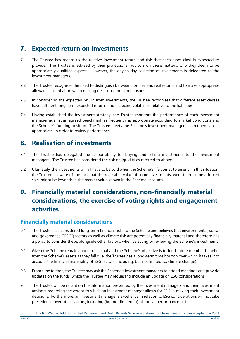# <span id="page-5-0"></span>**7. Expected return on investments**

- 7.1. The Trustee has regard to the relative investment return and risk that each asset class is expected to provide. The Trustee is advised by their professional advisors on these matters, who they deem to be appropriately qualified experts. However, the day-to-day selection of investments is delegated to the investment managers.
- 7.2. The Trustee recognises the need to distinguish between nominal and real returns and to make appropriate allowance for inflation when making decisions and comparisons.
- 7.3. In considering the expected return from investments, the Trustee recognises that different asset classes have different long-term expected returns and expected volatilities relative to the liabilities.
- 7.4. Having established the investment strategy, the Trustee monitors the performance of each investment manager against an agreed benchmark as frequently as appropriate according to market conditions and the Scheme's funding position. The Trustee meets the Scheme's investment managers as frequently as is appropriate, in order to review performance.

# <span id="page-5-1"></span>**8. Realisation of investments**

- 8.1. The Trustee has delegated the responsibility for buying and selling investments to the investment managers. The Trustee has considered the risk of liquidity as referred to above.
- 8.2. Ultimately, the investments will all have to be sold when the Scheme's life comes to an end. In this situation, the Trustee is aware of the fact that the realisable value of some investments, were there to be a forced sale, might be lower than the market value shown in the Scheme accounts.

# <span id="page-5-2"></span>**9. Financially material considerations, non-financially material considerations, the exercise of voting rights and engagement activities**

## **Financially material considerations**

- 9.1. The Trustee has considered long-term financial risks to the Scheme and believes that environmental, social and governance ("ESG") factors as well as climate risk are potentially financially material and therefore has a policy to consider these, alongside other factors, when selecting or reviewing the Scheme's investments.
- 9.2. Given the Scheme remains open to accrual and the Scheme's objective is to fund future member benefits from the Scheme's assets as they fall due, the Trustee has a long-term time horizon over which it takes into account the financial materiality of ESG factors (including, but not limited to, climate change).
- 9.3. From time to time, the Trustee may ask the Scheme's investment managers to attend meetings and provide updates on the funds, which the Trustee may request to include an update on ESG considerations.
- 9.4. The Trustee will be reliant on the information presented by the investment managers and their investment advisors regarding the extent to which an investment manager allows for ESG in making their investment decisions. Furthermore, an investment manager's excellence in relation to ESG considerations will not take precedence over other factors, including (but not limited to) historical performance or fees.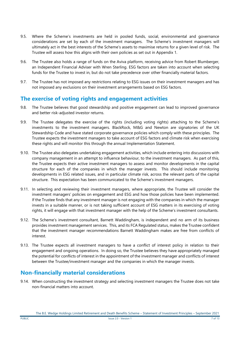- 9.5. Where the Scheme's investments are held in pooled funds, social, environmental and governance considerations are set by each of the investment managers. The Scheme's investment managers will ultimately act in the best interests of the Scheme's assets to maximise returns for a given level of risk. The Trustee will assess how this aligns with their own policies as set out in Appendix 1.
- 9.6. The Trustee also holds a range of funds on the Aviva platform, receiving advice from Robert Blumberger, an Independent Financial Adviser with Wren Sterling. ESG factors are taken into account when selecting funds for the Trustee to invest in, but do not take precedence over other financially material factors.
- 9.7. The Trustee has not imposed any restrictions relating to ESG issues on their investment managers and has not imposed any exclusions on their investment arrangements based on ESG factors.

## **The exercise of voting rights and engagement activities**

- 9.8. The Trustee believes that good stewardship and positive engagement can lead to improved governance and better risk-adjusted investor returns.
- 9.9. The Trustee delegates the exercise of the rights (including voting rights) attaching to the Scheme's investments to the investment managers. BlackRock, M&G and Newton are signatories of the UK Stewardship Code and have stated corporate governance policies which comply with these principles. The Trustee expects the investment managers to take account of ESG factors and climate risk when exercising these rights and will monitor this through the annual Implementation Statement.
- 9.10. The Trustee also delegates undertaking engagement activities, which include entering into discussions with company management in an attempt to influence behaviour, to the investment managers. As part of this, the Trustee expects their active investment managers to assess and monitor developments in the capital structure for each of the companies in which the manager invests. This should include monitoring developments in ESG related issues, and in particular climate risk, across the relevant parts of the capital structure. This expectation has been communicated to the Scheme's investment managers.
- 9.11. In selecting and reviewing their investment managers, where appropriate, the Trustee will consider the investment managers' policies on engagement and ESG and how those policies have been implemented. If the Trustee finds that any investment manager is not engaging with the companies in which the manager invests in a suitable manner, or is not taking sufficient account of ESG matters in its exercising of voting rights, it will engage with that investment manager with the help of the Scheme's investment consultants.
- 9.12. The Scheme's investment consultant, Barnett Waddingham, is independent and no arm of its business provides investment management services. This, and its FCA Regulated status, makes the Trustee confident that the investment manager recommendations Barnett Waddingham makes are free from conflicts of interest.
- 9.13. The Trustee expects all investment managers to have a conflict of interest policy in relation to their engagement and ongoing operations. In doing so, the Trustee believes they have appropriately managed the potential for conflicts of interest in the appointment of the investment manager and conflicts of interest between the Trustee/investment manager and the companies in which the manager invests.

## **Non-financially material considerations**

9.14. When constructing the investment strategy and selecting investment managers the Trustee does not take non-financial matters into account.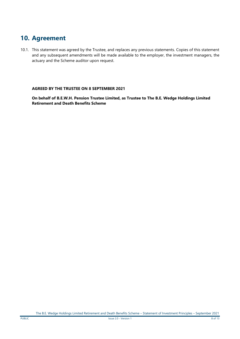# <span id="page-7-0"></span>**10. Agreement**

10.1. This statement was agreed by the Trustee, and replaces any previous statements. Copies of this statement and any subsequent amendments will be made available to the employer, the investment managers, the actuary and the Scheme auditor upon request.

#### **AGREED BY THE TRUSTEE ON 8 SEPTEMBER 2021**

**On behalf of B.E.W.H. Pension Trustee Limited, as Trustee to The B.E. Wedge Holdings Limited Retirement and Death Benefits Scheme**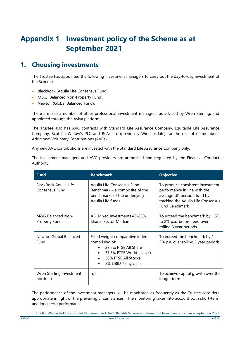# <span id="page-8-0"></span>**Appendix 1 Investment policy of the Scheme as at September 2021**

# **1. Choosing investments**

The Trustee has appointed the following investment managers to carry out the day-to-day investment of the Scheme:

- **BlackRock (Aquila Life Consensus Fund);**
- M&G (Balanced Non-Property Fund);
- Newton (Global Balanced Fund).

There are also a number of other professional investment managers, as advised by Wren Sterling, and appointed through the Aviva platform.

The Trustee also has AVC contracts with Standard Life Assurance Company, Equitable Life Assurance Company, Scottish Widow's PLC and ReAssure (previously Windsor Life) for the receipt of members' Additional Voluntary Contributions (AVCs).

Any new AVC contributions are invested with the Standard Life Assurance Company only.

The investment managers and AVC providers are authorised and regulated by the Financial Conduct Authority.

| <b>Fund</b>                             | <b>Benchmark</b>                                                                                                                                   | <b>Objective</b>                                                                                                                                              |
|-----------------------------------------|----------------------------------------------------------------------------------------------------------------------------------------------------|---------------------------------------------------------------------------------------------------------------------------------------------------------------|
| BlackRock Aquila Life<br>Consensus Fund | Aquila Life Consensus Fund<br>Benchmark $-$ a composite of the<br>benchmarks of the underlying<br>Aquila Life funds                                | To produce consistent investment<br>performance in line with the<br>average UK pension fund by<br>tracking the Aquila Life Consensus<br><b>Fund Benchmark</b> |
| M&G Balanced Non-<br>Property Fund      | ABI Mixed Investments 40-85%<br><b>Shares Sector Median</b>                                                                                        | To exceed the benchmark by 1.5%<br>to 2% p.a., before fees, over<br>rolling 3 year periods                                                                    |
| Newton Global Balanced<br>Fund          | Fixed weight comparative index<br>comprising of:<br>37.5% FTSE All Share<br>37.5% FTSE World (ex UK)<br>20% FTSE All Stocks<br>5% LIBID 7 day cash | To exceed the benchmark by 1-<br>2% p.a. over rolling 5 year periods                                                                                          |
| Wren Sterling investment<br>portfolio   | n/a                                                                                                                                                | To achieve capital growth over the<br>longer term                                                                                                             |

The performance of the investment managers will be monitored as frequently as the Trustee considers appropriate in light of the prevailing circumstances. The monitoring takes into account both short-term and long-term performance.

The B.E. Wedge Holdings Limited Retirement and Death Benefits Scheme – Statement of Investment Principles – September 2021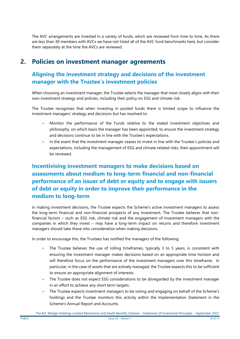The AVC arrangements are invested in a variety of funds, which are reviewed from time to time. As there are less than 30 members with AVCs we have not listed all of the AVC fund benchmarks here, but consider them separately at the time the AVCs are reviewed.

# **2. Policies on investment manager agreements**

# **Aligning the investment strategy and decisions of the investment manager with the Trustee's investment policies**

When choosing an investment manager, the Trustee selects the manager that most closely aligns with their own investment strategy and policies, including their policy on ESG and climate risk.

The Trustee recognises that when investing in pooled funds there is limited scope to influence the investment managers' strategy and decisions but has resolved to:

- Monitor the performance of the Funds relative to the stated investment objectives and philosophy, on which basis the manager has been appointed, to ensure the investment strategy and decisions continue to be in line with the Trustee's expectations.
- In the event that the investment manager ceases to invest in line with the Trustee's policies and expectations, including the management of ESG and climate related risks, their appointment will be reviewed.

# **Incentivising investment managers to make decisions based on assessments about medium to long-term financial and non-financial performance of an issuer of debt or equity and to engage with issuers of debt or equity in order to improve their performance in the medium to long-term**

In making investment decisions, the Trustee expects the Scheme's active investment managers to assess the long-term financial and non-financial prospects of any investment. The Trustee believes that nonfinancial factors – such as ESG risk, climate risk and the engagement of investment managers with the companies in which they invest – may have a long-term impact on returns and therefore investment managers should take these into consideration when making decisions.

In order to encourage this, the Trustees has notified the managers of the following:

- The Trustee believes the use of rolling timeframes, typically 3 to 5 years, is consistent with ensuring the investment manager makes decisions based on an appropriate time horizon and will therefore focus on the performance of the investment managers over this timeframe. In particular, in the case of assets that are actively managed, the Trustee expects this to be sufficient to ensure an appropriate alignment of interests.
- The Trustee does not expect ESG considerations to be disregarded by the investment manager in an effort to achieve any short term targets.
- The Trustee expects investment managers to be voting and engaging on behalf of the Scheme's holdings and the Trustee monitors this activity within the Implementation Statement in the Scheme's Annual Report and Accounts.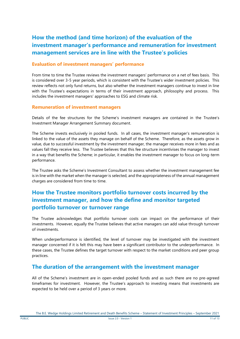# **How the method (and time horizon) of the evaluation of the investment manager's performance and remuneration for investment management services are in line with the Trustee's policies**

#### **Evaluation of investment managers' performance**

From time to time the Trustee reviews the investment managers' performance on a net of fees basis. This is considered over 3-5 year periods, which is consistent with the Trustee's wider investment policies. This review reflects not only fund returns, but also whether the investment managers continue to invest in line with the Trustee's expectations in terms of their investment approach, philosophy and process. This includes the investment managers' approaches to ESG and climate risk.

#### **Remuneration of investment managers**

Details of the fee structures for the Scheme's investment managers are contained in the Trustee's Investment Manager Arrangement Summary document.

The Scheme invests exclusively in pooled funds. In all cases, the investment manager's remuneration is linked to the value of the assets they manage on behalf of the Scheme. Therefore, as the assets grow in value, due to successful investment by the investment manager, the manager receives more in fees and as values fall they receive less. The Trustee believes that this fee structure incentivises the manager to invest in a way that benefits the Scheme; in particular, it enables the investment manager to focus on long-term performance.

The Trustee asks the Scheme's Investment Consultant to assess whether the investment management fee is in line with the market when the manager is selected, and the appropriateness of the annual management charges are considered from time to time.

# **How the Trustee monitors portfolio turnover costs incurred by the investment manager, and how the define and monitor targeted portfolio turnover or turnover range**

The Trustee acknowledges that portfolio turnover costs can impact on the performance of their investments. However, equally the Trustee believes that active managers can add value through turnover of investments.

When underperformance is identified, the level of turnover may be investigated with the investment manager concerned if it is felt this may have been a significant contributor to the underperformance. In these cases, the Trustee defines the target turnover with respect to the market conditions and peer group practices.

#### **The duration of the arrangement with the investment manager**

All of the Scheme's investment are in open-ended pooled funds and as such there are no pre-agreed timeframes for investment. However, the Trustee's approach to investing means that investments are expected to be held over a period of 3 years or more.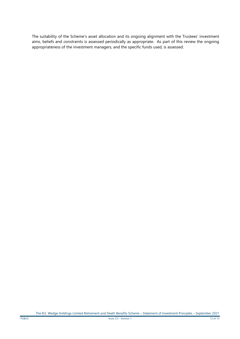The suitability of the Scheme's asset allocation and its ongoing alignment with the Trustees' investment aims, beliefs and constraints is assessed periodically as appropriate. As part of this review the ongoing appropriateness of the investment managers, and the specific funds used, is assessed.